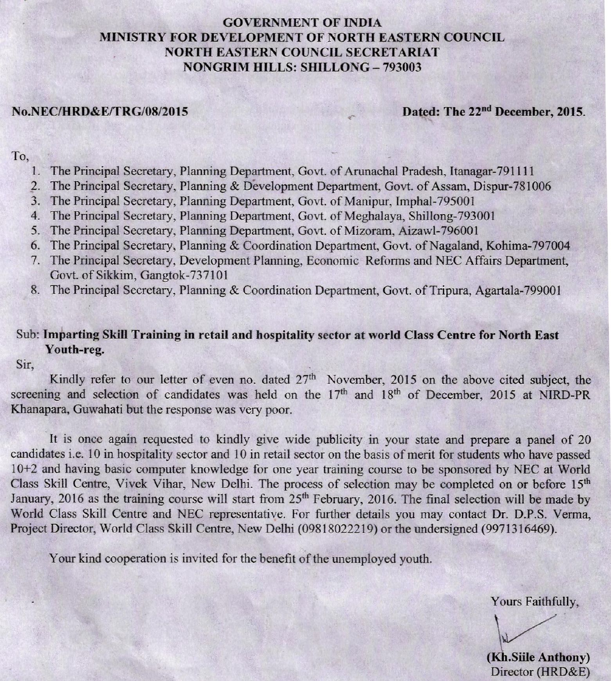### **GOVERNMENT OF INDIA** MINISTRY FOR DEVELOPMENT OF NORTH EASTERN COUNCIL **NORTH EASTERN COUNCIL SECRETARIAT NONGRIM HILLS: SHILLONG - 793003**

#### **No.NEC/HRD&E/TRG/08/2015**

Dated: The 22<sup>nd</sup> December, 2015.

#### To,

- 1. The Principal Secretary, Planning Department, Govt. of Arunachal Pradesh, Itanagar-791111
- The Principal Secretary, Planning & Development Department, Govt. of Assam, Dispur-781006  $2.$
- The Principal Secretary, Planning Department, Govt. of Manipur, Imphal-795001 3.
- The Principal Secretary, Planning Department, Govt. of Meghalaya, Shillong-793001  $4.$
- The Principal Secretary, Planning Department, Govt. of Mizoram, Aizawl-796001 5.
- The Principal Secretary, Planning & Coordination Department, Govt. of Nagaland, Kohima-797004 6.
- The Principal Secretary, Development Planning, Economic Reforms and NEC Affairs Department, 7. Govt. of Sikkim, Gangtok-737101
- 8. The Principal Secretary, Planning & Coordination Department, Govt. of Tripura, Agartala-799001

#### Sub: Imparting Skill Training in retail and hospitality sector at world Class Centre for North East Youth-reg.

Sir.

Kindly refer to our letter of even no. dated 27<sup>th</sup> November, 2015 on the above cited subject, the screening and selection of candidates was held on the 17th and 18th of December, 2015 at NIRD-PR Khanapara, Guwahati but the response was very poor.

It is once again requested to kindly give wide publicity in your state and prepare a panel of 20 candidates i.e. 10 in hospitality sector and 10 in retail sector on the basis of merit for students who have passed 10+2 and having basic computer knowledge for one year training course to be sponsored by NEC at World Class Skill Centre, Vivek Vihar, New Delhi. The process of selection may be completed on or before 15<sup>th</sup> January, 2016 as the training course will start from 25<sup>th</sup> February, 2016. The final selection will be made by World Class Skill Centre and NEC representative. For further details you may contact Dr. D.P.S. Verma, Project Director, World Class Skill Centre, New Delhi (09818022219) or the undersigned (9971316469).

Your kind cooperation is invited for the benefit of the unemployed youth.

Yours Faithfully,

(Kh.Siile Anthony) Director (HRD&E)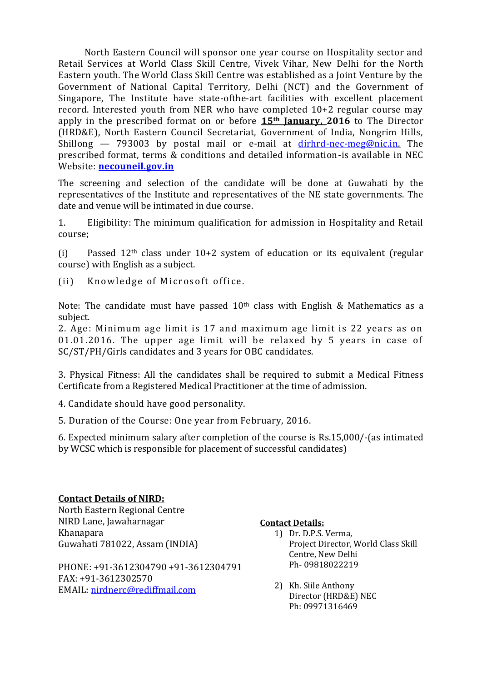North Eastern Council will sponsor one year course on Hospitality sector and Retail Services at World Class Skill Centre, Vivek Vihar, New Delhi for the North Eastern youth. The World Class Skill Centre was established as a Joint Venture by the Government of National Capital Territory, Delhi (NCT) and the Government of Singapore, The Institute have state-ofthe-art facilities with excellent placement record. Interested youth from NER who have completed 10+2 regular course may apply in the prescribed format on or before **15th January, 2016** to The Director (HRD&E), North Eastern Council Secretariat, Government of India, Nongrim Hills, Shillong  $-$  793003 by postal mail or e-mail at  $\frac{dirhrd-nec-meg@nic.in.}{}$  $\frac{dirhrd-nec-meg@nic.in.}{}$  $\frac{dirhrd-nec-meg@nic.in.}{}$  The prescribed format, terms & conditions and detailed information-is available in NEC Website: **[necouneil.gov.in](http://necouneil.gov.in/)**

The screening and selection of the candidate will be done at Guwahati by the representatives of the Institute and representatives of the NE state governments. The date and venue will be intimated in due course.

1. Eligibility: The minimum qualification for admission in Hospitality and Retail course;

(i) Passed  $12<sup>th</sup>$  class under  $10+2$  system of education or its equivalent (regular course) with English as a subject.

(ii) Knowledge of Microsoft office.

Note: The candidate must have passed  $10<sup>th</sup>$  class with English & Mathematics as a subject.

2. Age: Minimum age limit is 17 and maximum age limit is 22 years as on 01.01.2016. The upper age limit will be relaxed by 5 years in case of SC/ST/PH/Girls candidates and 3 years for OBC candidates.

3. Physical Fitness: All the candidates shall be required to submit a Medical Fitness Certificate from a Registered Medical Practitioner at the time of admission.

4. Candidate should have good personality.

5. Duration of the Course: One year from February, 2016.

6. Expected minimum salary after completion of the course is Rs.15,000/-(as intimated by WCSC which is responsible for placement of successful candidates)

## **Contact Details of NIRD:**

North Eastern Regional Centre NIRD Lane, Jawaharnagar Khanapara Guwahati 781022, Assam (INDIA)

PHONE: +91-3612304790 +91-3612304791 FAX: +91-3612302570 EMAIL: [nirdnerc@rediffmail.com](mailto:nirdnerc@rediffmail.com)

### **Contact Details:**

- 1) Dr. D.P.S. Verma, Project Director, World Class Skill Centre, New Delhi Ph- 09818022219
- 2) Kh. Siile Anthony Director (HRD&E) NEC Ph: 09971316469